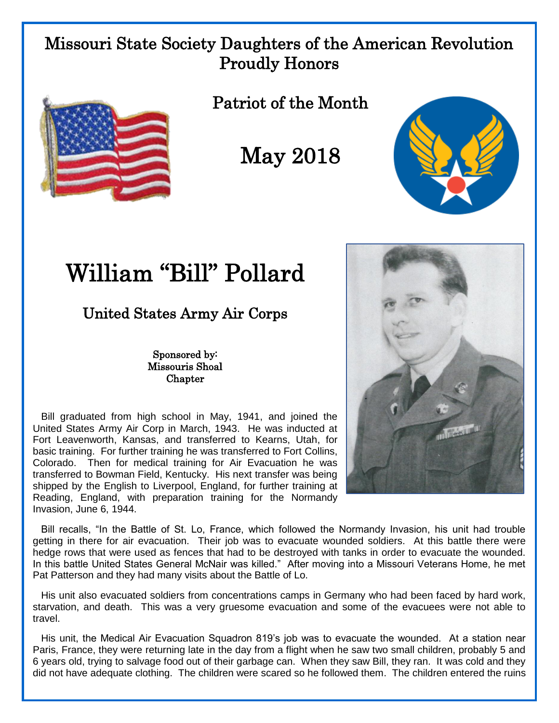## Missouri State Society Daughters of the American Revolution Proudly Honors



Patriot of the Month

May 2018



## William "Bill" Pollard

## United States Army Air Corps

Sponsored by: Missouris Shoal **Chapter** 

 Bill graduated from high school in May, 1941, and joined the United States Army Air Corp in March, 1943. He was inducted at Fort Leavenworth, Kansas, and transferred to Kearns, Utah, for basic training. For further training he was transferred to Fort Collins, Colorado. Then for medical training for Air Evacuation he was transferred to Bowman Field, Kentucky. His next transfer was being shipped by the English to Liverpool, England, for further training at Reading, England, with preparation training for the Normandy Invasion, June 6, 1944.



 Bill recalls, "In the Battle of St. Lo, France, which followed the Normandy Invasion, his unit had trouble getting in there for air evacuation. Their job was to evacuate wounded soldiers. At this battle there were hedge rows that were used as fences that had to be destroyed with tanks in order to evacuate the wounded. In this battle United States General McNair was killed." After moving into a Missouri Veterans Home, he met Pat Patterson and they had many visits about the Battle of Lo.

 His unit also evacuated soldiers from concentrations camps in Germany who had been faced by hard work, starvation, and death. This was a very gruesome evacuation and some of the evacuees were not able to travel.

 His unit, the Medical Air Evacuation Squadron 819's job was to evacuate the wounded. At a station near Paris, France, they were returning late in the day from a flight when he saw two small children, probably 5 and 6 years old, trying to salvage food out of their garbage can. When they saw Bill, they ran. It was cold and they did not have adequate clothing. The children were scared so he followed them. The children entered the ruins